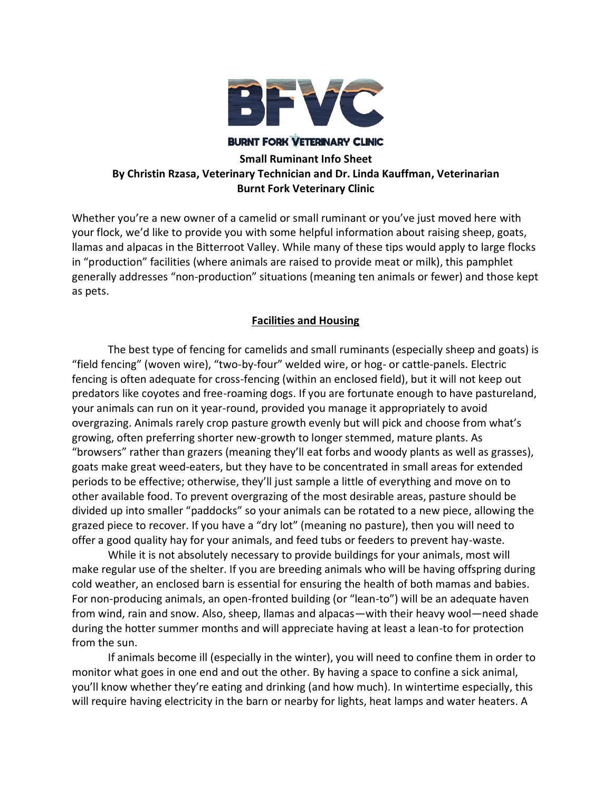

**BURNT FORK VETERINARY CLINIC** 

# **Small Ruminant Info Sheet By Christin Rzasa, Veterinary Technician and Dr. Linda Kauffman, Veterinarian Burnt Fork Veterinary Clinic**

Whether you're a new owner of a camelid or small ruminant or you've just moved here with your flock, we'd like to provide you with some helpful information about raising sheep, goats, llamas and alpacas in the Bitterroot Valley. While many of these tips would apply to large flocks in "production" facilities (where animals are raised to provide meat or milk), this pamphlet generally addresses "non-production" situations (meaning ten animals or fewer) and those kept as pets.

## **Facilities and Housing**

The best type of fencing for camelids and small ruminants (especially sheep and goats) is "field fencing" (woven wire), "two-by-four" welded wire, or hog- or cattle-panels. Electric fencing is often adequate for cross-fencing (within an enclosed field), but it will not keep out predators like coyotes and free-roaming dogs. If you are fortunate enough to have pastureland, your animals can run on it year-round, provided you manage it appropriately to avoid overgrazing. Animals rarely crop pasture growth evenly but will pick and choose from what's growing, often preferring shorter new-growth to longer stemmed, mature plants. As "browsers" rather than grazers (meaning they'll eat forbs and woody plants as well as grasses), goats make great weed-eaters, but they have to be concentrated in small areas for extended periods to be effective; otherwise, they'll just sample a little of everything and move on to other available food. To prevent overgrazing of the most desirable areas, pasture should be divided up into smaller "paddocks" so your animals can be rotated to a new piece, allowing the grazed piece to recover. If you have a "dry lot" (meaning no pasture), then you will need to offer a good quality hay for your animals, and feed tubs or feeders to prevent hay-waste.

While it is not absolutely necessary to provide buildings for your animals, most will make regular use of the shelter. If you are breeding animals who will be having offspring during cold weather, an enclosed barn is essential for ensuring the health of both mamas and babies. For non-producing animals, an open-fronted building (or "lean-to") will be an adequate haven from wind, rain and snow. Also, sheep, llamas and alpacas—with their heavy wool—need shade during the hotter summer months and will appreciate having at least a lean-to for protection from the sun.

If animals become ill (especially in the winter), you will need to confine them in order to monitor what goes in one end and out the other. By having a space to confine a sick animal, you'll know whether they're eating and drinking (and how much). In wintertime especially, this will require having electricity in the barn or nearby for lights, heat lamps and water heaters. A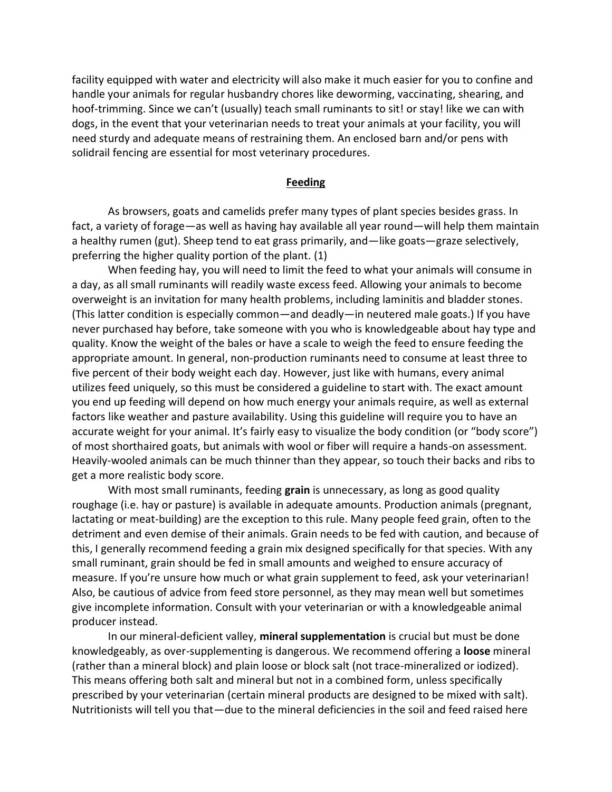facility equipped with water and electricity will also make it much easier for you to confine and handle your animals for regular husbandry chores like deworming, vaccinating, shearing, and hoof-trimming. Since we can't (usually) teach small ruminants to sit! or stay! like we can with dogs, in the event that your veterinarian needs to treat your animals at your facility, you will need sturdy and adequate means of restraining them. An enclosed barn and/or pens with solidrail fencing are essential for most veterinary procedures.

#### **Feeding**

As browsers, goats and camelids prefer many types of plant species besides grass. In fact, a variety of forage—as well as having hay available all year round—will help them maintain a healthy rumen (gut). Sheep tend to eat grass primarily, and—like goats—graze selectively, preferring the higher quality portion of the plant. (1)

When feeding hay, you will need to limit the feed to what your animals will consume in a day, as all small ruminants will readily waste excess feed. Allowing your animals to become overweight is an invitation for many health problems, including laminitis and bladder stones. (This latter condition is especially common—and deadly—in neutered male goats.) If you have never purchased hay before, take someone with you who is knowledgeable about hay type and quality. Know the weight of the bales or have a scale to weigh the feed to ensure feeding the appropriate amount. In general, non-production ruminants need to consume at least three to five percent of their body weight each day. However, just like with humans, every animal utilizes feed uniquely, so this must be considered a guideline to start with. The exact amount you end up feeding will depend on how much energy your animals require, as well as external factors like weather and pasture availability. Using this guideline will require you to have an accurate weight for your animal. It's fairly easy to visualize the body condition (or "body score") of most shorthaired goats, but animals with wool or fiber will require a hands-on assessment. Heavily-wooled animals can be much thinner than they appear, so touch their backs and ribs to get a more realistic body score.

With most small ruminants, feeding **grain** is unnecessary, as long as good quality roughage (i.e. hay or pasture) is available in adequate amounts. Production animals (pregnant, lactating or meat-building) are the exception to this rule. Many people feed grain, often to the detriment and even demise of their animals. Grain needs to be fed with caution, and because of this, I generally recommend feeding a grain mix designed specifically for that species. With any small ruminant, grain should be fed in small amounts and weighed to ensure accuracy of measure. If you're unsure how much or what grain supplement to feed, ask your veterinarian! Also, be cautious of advice from feed store personnel, as they may mean well but sometimes give incomplete information. Consult with your veterinarian or with a knowledgeable animal producer instead.

In our mineral-deficient valley, **mineral supplementation** is crucial but must be done knowledgeably, as over-supplementing is dangerous. We recommend offering a **loose** mineral (rather than a mineral block) and plain loose or block salt (not trace-mineralized or iodized). This means offering both salt and mineral but not in a combined form, unless specifically prescribed by your veterinarian (certain mineral products are designed to be mixed with salt). Nutritionists will tell you that—due to the mineral deficiencies in the soil and feed raised here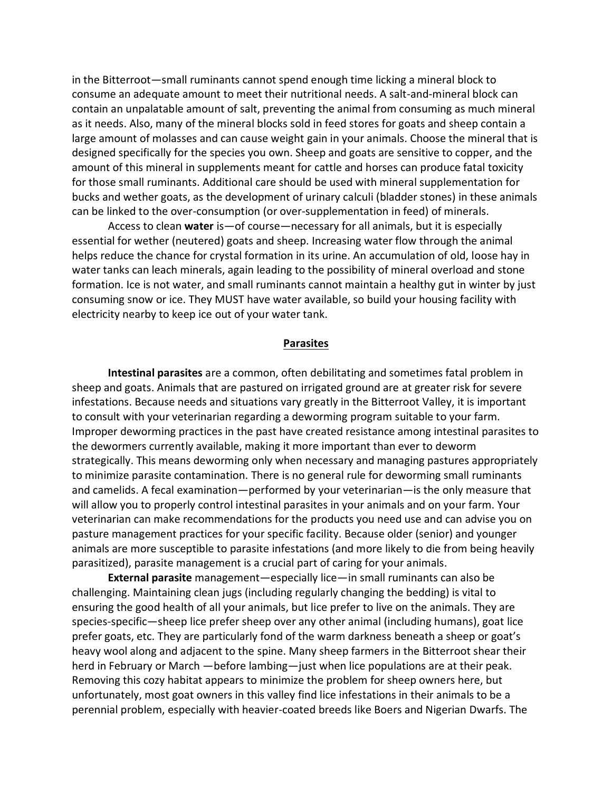in the Bitterroot—small ruminants cannot spend enough time licking a mineral block to consume an adequate amount to meet their nutritional needs. A salt-and-mineral block can contain an unpalatable amount of salt, preventing the animal from consuming as much mineral as it needs. Also, many of the mineral blocks sold in feed stores for goats and sheep contain a large amount of molasses and can cause weight gain in your animals. Choose the mineral that is designed specifically for the species you own. Sheep and goats are sensitive to copper, and the amount of this mineral in supplements meant for cattle and horses can produce fatal toxicity for those small ruminants. Additional care should be used with mineral supplementation for bucks and wether goats, as the development of urinary calculi (bladder stones) in these animals can be linked to the over-consumption (or over-supplementation in feed) of minerals.

Access to clean **water** is—of course—necessary for all animals, but it is especially essential for wether (neutered) goats and sheep. Increasing water flow through the animal helps reduce the chance for crystal formation in its urine. An accumulation of old, loose hay in water tanks can leach minerals, again leading to the possibility of mineral overload and stone formation. Ice is not water, and small ruminants cannot maintain a healthy gut in winter by just consuming snow or ice. They MUST have water available, so build your housing facility with electricity nearby to keep ice out of your water tank.

#### **Parasites**

**Intestinal parasites** are a common, often debilitating and sometimes fatal problem in sheep and goats. Animals that are pastured on irrigated ground are at greater risk for severe infestations. Because needs and situations vary greatly in the Bitterroot Valley, it is important to consult with your veterinarian regarding a deworming program suitable to your farm. Improper deworming practices in the past have created resistance among intestinal parasites to the dewormers currently available, making it more important than ever to deworm strategically. This means deworming only when necessary and managing pastures appropriately to minimize parasite contamination. There is no general rule for deworming small ruminants and camelids. A fecal examination—performed by your veterinarian—is the only measure that will allow you to properly control intestinal parasites in your animals and on your farm. Your veterinarian can make recommendations for the products you need use and can advise you on pasture management practices for your specific facility. Because older (senior) and younger animals are more susceptible to parasite infestations (and more likely to die from being heavily parasitized), parasite management is a crucial part of caring for your animals.

**External parasite** management—especially lice—in small ruminants can also be challenging. Maintaining clean jugs (including regularly changing the bedding) is vital to ensuring the good health of all your animals, but lice prefer to live on the animals. They are species-specific—sheep lice prefer sheep over any other animal (including humans), goat lice prefer goats, etc. They are particularly fond of the warm darkness beneath a sheep or goat's heavy wool along and adjacent to the spine. Many sheep farmers in the Bitterroot shear their herd in February or March —before lambing—just when lice populations are at their peak. Removing this cozy habitat appears to minimize the problem for sheep owners here, but unfortunately, most goat owners in this valley find lice infestations in their animals to be a perennial problem, especially with heavier-coated breeds like Boers and Nigerian Dwarfs. The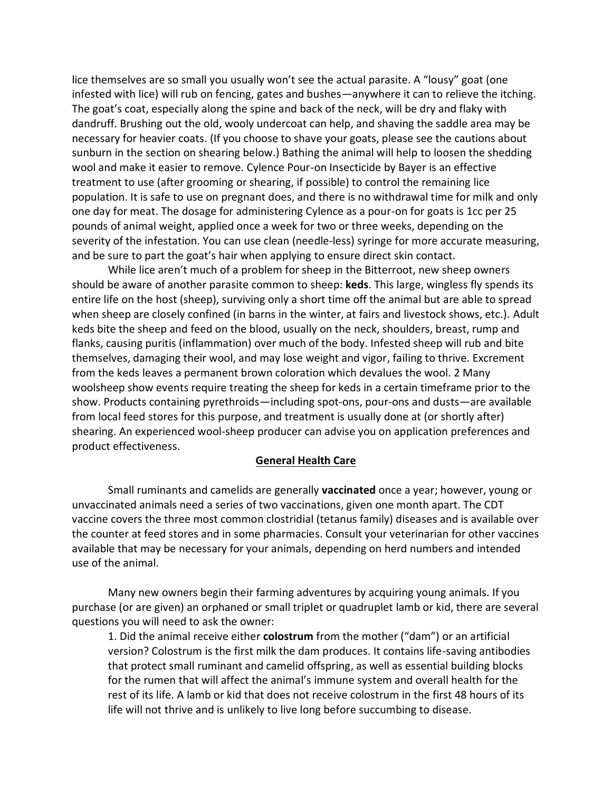lice themselves are so small you usually won't see the actual parasite. A "lousy" goat (one infested with lice) will rub on fencing, gates and bushes—anywhere it can to relieve the itching. The goat's coat, especially along the spine and back of the neck, will be dry and flaky with dandruff. Brushing out the old, wooly undercoat can help, and shaving the saddle area may be necessary for heavier coats. (If you choose to shave your goats, please see the cautions about sunburn in the section on shearing below.) Bathing the animal will help to loosen the shedding wool and make it easier to remove. Cylence Pour-on Insecticide by Bayer is an effective treatment to use (after grooming or shearing, if possible) to control the remaining lice population. It is safe to use on pregnant does, and there is no withdrawal time for milk and only one day for meat. The dosage for administering Cylence as a pour-on for goats is 1cc per 25 pounds of animal weight, applied once a week for two or three weeks, depending on the severity of the infestation. You can use clean (needle-less) syringe for more accurate measuring, and be sure to part the goat's hair when applying to ensure direct skin contact.

While lice aren't much of a problem for sheep in the Bitterroot, new sheep owners should be aware of another parasite common to sheep: **keds**. This large, wingless fly spends its entire life on the host (sheep), surviving only a short time off the animal but are able to spread when sheep are closely confined (in barns in the winter, at fairs and livestock shows, etc.). Adult keds bite the sheep and feed on the blood, usually on the neck, shoulders, breast, rump and flanks, causing puritis (inflammation) over much of the body. Infested sheep will rub and bite themselves, damaging their wool, and may lose weight and vigor, failing to thrive. Excrement from the keds leaves a permanent brown coloration which devalues the wool. 2 Many woolsheep show events require treating the sheep for keds in a certain timeframe prior to the show. Products containing pyrethroids—including spot-ons, pour-ons and dusts—are available from local feed stores for this purpose, and treatment is usually done at (or shortly after) shearing. An experienced wool-sheep producer can advise you on application preferences and product effectiveness.

#### **General Health Care**

Small ruminants and camelids are generally **vaccinated** once a year; however, young or unvaccinated animals need a series of two vaccinations, given one month apart. The CDT vaccine covers the three most common clostridial (tetanus family) diseases and is available over the counter at feed stores and in some pharmacies. Consult your veterinarian for other vaccines available that may be necessary for your animals, depending on herd numbers and intended use of the animal.

Many new owners begin their farming adventures by acquiring young animals. If you purchase (or are given) an orphaned or small triplet or quadruplet lamb or kid, there are several questions you will need to ask the owner:

1. Did the animal receive either **colostrum** from the mother ("dam") or an artificial version? Colostrum is the first milk the dam produces. It contains life-saving antibodies that protect small ruminant and camelid offspring, as well as essential building blocks for the rumen that will affect the animal's immune system and overall health for the rest of its life. A lamb or kid that does not receive colostrum in the first 48 hours of its life will not thrive and is unlikely to live long before succumbing to disease.